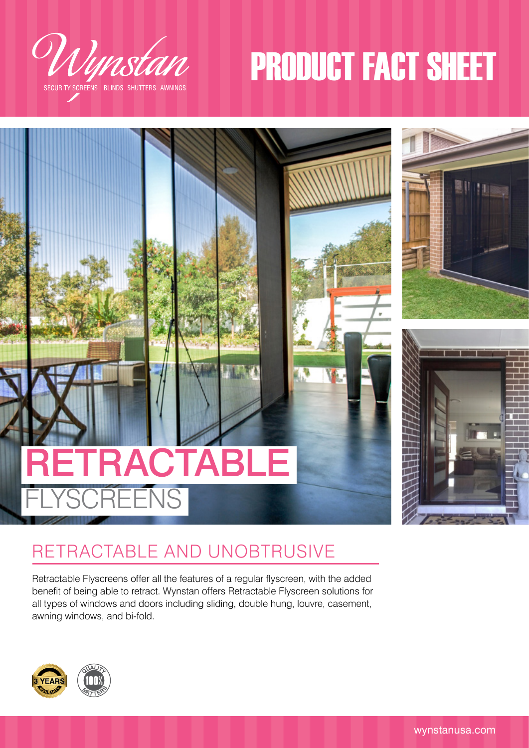

# PRODUCT FACT SHEET



# RETRACTABLE AND UNOBTRUSIVE

Retractable Flyscreens offer all the features of a regular flyscreen, with the added benefit of being able to retract. Wynstan offers Retractable Flyscreen solutions for all types of windows and doors including sliding, double hung, louvre, casement, awning windows, and bi-fold.